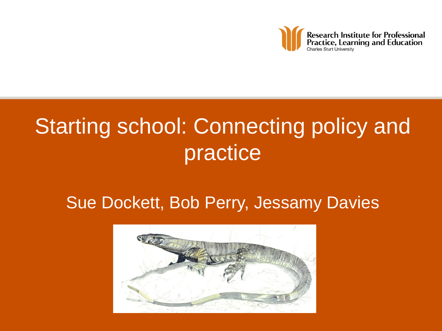

# Starting school: Connecting policy and practice

#### Sue Dockett, Bob Perry, Jessamy Davies

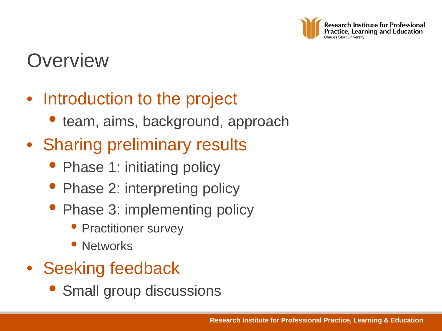

### **Overview**

#### • Introduction to the project

- team, aims, background, approach
- Sharing preliminary results
	- Phase 1: initiating policy
	- Phase 2: interpreting policy
	- Phase 3: implementing policy
		- Practitioner survey
		- Networks
- Seeking feedback
	- Small group discussions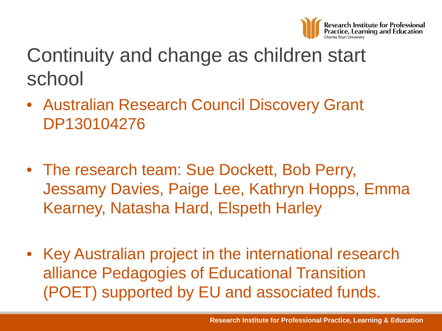

# Continuity and change as children start school

- Australian Research Council Discovery Grant DP130104276
- The research team: Sue Dockett, Bob Perry, Jessamy Davies, Paige Lee, Kathryn Hopps, Emma Kearney, Natasha Hard, Elspeth Harley
- Key Australian project in the international research alliance Pedagogies of Educational Transition (POET) supported by EU and associated funds.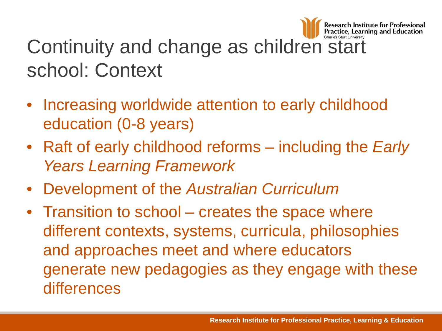

# Continuity and change as children start school: Context

- Increasing worldwide attention to early childhood education (0-8 years)
- Raft of early childhood reforms including the *Early Years Learning Framework*
- Development of the *Australian Curriculum*
- Transition to school creates the space where different contexts, systems, curricula, philosophies and approaches meet and where educators generate new pedagogies as they engage with these differences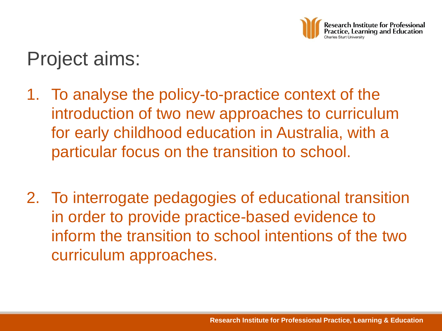

# Project aims:

- 1. To analyse the policy-to-practice context of the introduction of two new approaches to curriculum for early childhood education in Australia, with a particular focus on the transition to school.
- 2. To interrogate pedagogies of educational transition in order to provide practice-based evidence to inform the transition to school intentions of the two curriculum approaches.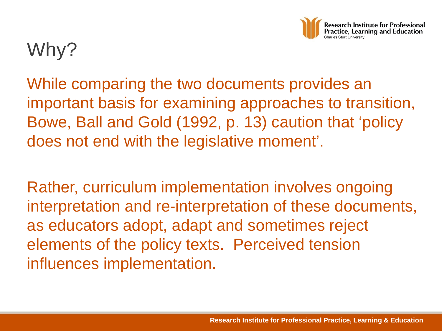

# Why?

While comparing the two documents provides an important basis for examining approaches to transition, Bowe, Ball and Gold (1992, p. 13) caution that 'policy does not end with the legislative moment'.

Rather, curriculum implementation involves ongoing interpretation and re-interpretation of these documents, as educators adopt, adapt and sometimes reject elements of the policy texts. Perceived tension influences implementation.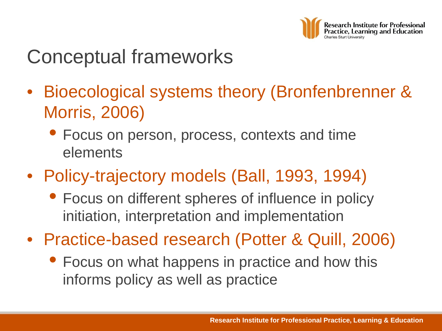

# Conceptual frameworks

- Bioecological systems theory (Bronfenbrenner & Morris, 2006)
	- Focus on person, process, contexts and time elements
- Policy-trajectory models (Ball, 1993, 1994)
	- Focus on different spheres of influence in policy initiation, interpretation and implementation
- Practice-based research (Potter & Quill, 2006)
	- Focus on what happens in practice and how this informs policy as well as practice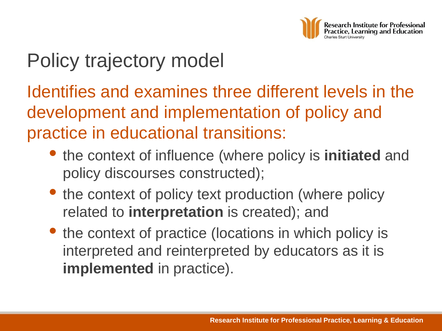

# Policy trajectory model

Identifies and examines three different levels in the development and implementation of policy and practice in educational transitions:

- the context of influence (where policy is **initiated** and policy discourses constructed);
- the context of policy text production (where policy related to **interpretation** is created); and
- the context of practice (locations in which policy is interpreted and reinterpreted by educators as it is **implemented** in practice).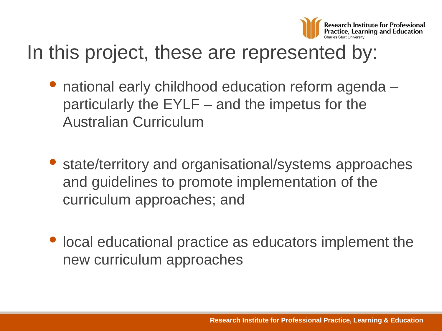

# In this project, these are represented by:

- national early childhood education reform agenda particularly the EYLF – and the impetus for the Australian Curriculum
- state/territory and organisational/systems approaches and guidelines to promote implementation of the curriculum approaches; and
- local educational practice as educators implement the new curriculum approaches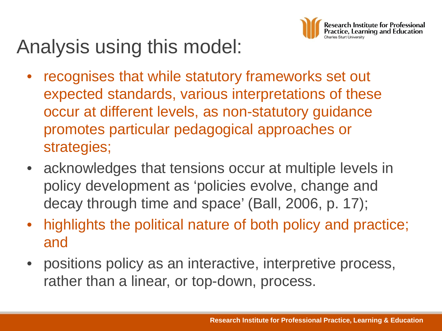

# Analysis using this model:

- recognises that while statutory frameworks set out expected standards, various interpretations of these occur at different levels, as non-statutory guidance promotes particular pedagogical approaches or strategies;
- acknowledges that tensions occur at multiple levels in policy development as 'policies evolve, change and decay through time and space' (Ball, 2006, p. 17);
- highlights the political nature of both policy and practice; and
- positions policy as an interactive, interpretive process, rather than a linear, or top-down, process.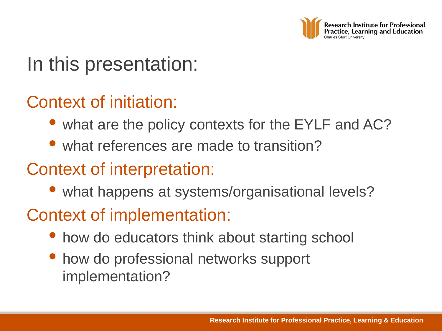

# In this presentation:

#### Context of initiation:

- what are the policy contexts for the EYLF and AC?
- what references are made to transition?

#### Context of interpretation:

• what happens at systems/organisational levels?

#### Context of implementation:

- how do educators think about starting school
- how do professional networks support implementation?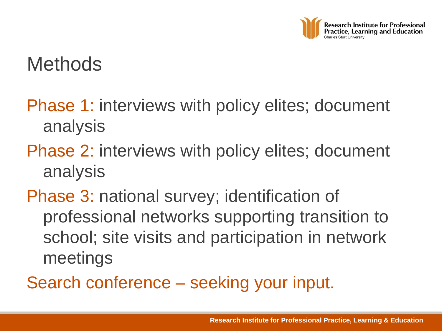

## **Methods**

- Phase 1: interviews with policy elites; document analysis
- Phase 2: interviews with policy elites; document analysis
- Phase 3: national survey; identification of professional networks supporting transition to school; site visits and participation in network meetings
- Search conference seeking your input.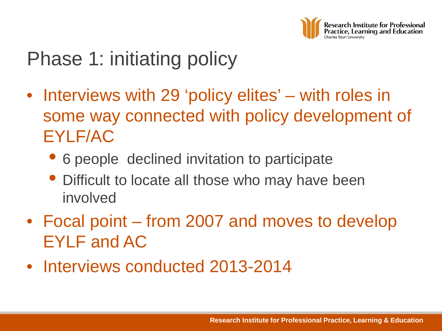

# Phase 1: initiating policy

- Interviews with 29 'policy elites' with roles in some way connected with policy development of EYLF/AC
	- 6 people declined invitation to participate
	- Difficult to locate all those who may have been involved
- Focal point from 2007 and moves to develop EYLF and AC
- Interviews conducted 2013-2014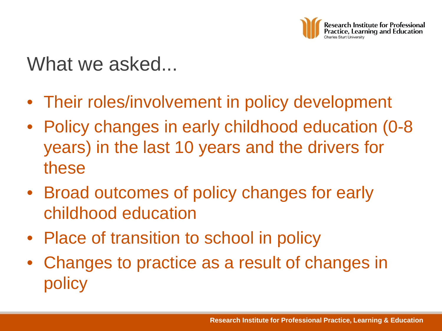

## What we asked...

- Their roles/involvement in policy development
- Policy changes in early childhood education (0-8) years) in the last 10 years and the drivers for these
- Broad outcomes of policy changes for early childhood education
- Place of transition to school in policy
- Changes to practice as a result of changes in policy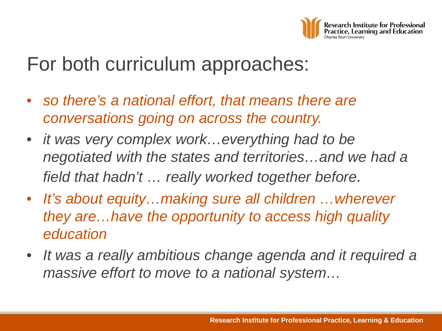

## For both curriculum approaches:

- *so there's a national effort, that means there are conversations going on across the country.*
- *it was very complex work…everything had to be negotiated with the states and territories…and we had a field that hadn't … really worked together before.*
- *It's about equity…making sure all children …wherever they are…have the opportunity to access high quality education*
- *It was a really ambitious change agenda and it required a massive effort to move to a national system…*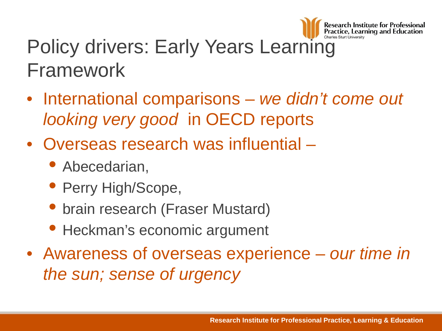

# Policy drivers: Early Years Learning Framework

- International comparisons *we didn't come out looking very good* in OECD reports
- Overseas research was influential
	- Abecedarian,
	- Perry High/Scope,
	- brain research (Fraser Mustard)
	- Heckman's economic argument
- Awareness of overseas experience *our time in the sun; sense of urgency*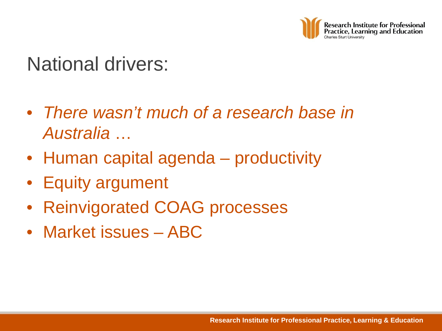

## National drivers:

- *There wasn't much of a research base in Australia* …
- Human capital agenda productivity
- Equity argument
- Reinvigorated COAG processes
- Market issues ABC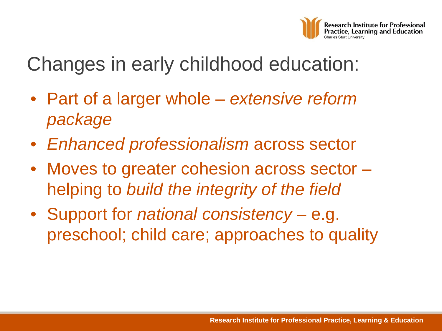

Changes in early childhood education:

- Part of a larger whole *extensive reform package*
- *Enhanced professionalism* across sector
- Moves to greater cohesion across sector helping to *build the integrity of the field*
- Support for *national consistency*  e.g. preschool; child care; approaches to quality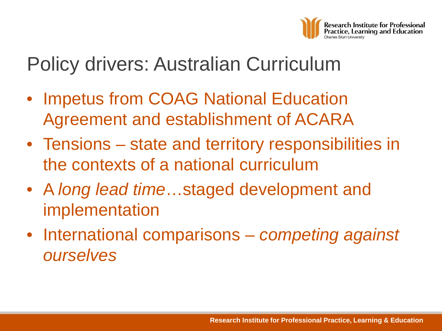

## Policy drivers: Australian Curriculum

- Impetus from COAG National Education Agreement and establishment of ACARA
- Tensions state and territory responsibilities in the contexts of a national curriculum
- A *long lead time*…staged development and implementation
- International comparisons *competing against ourselves*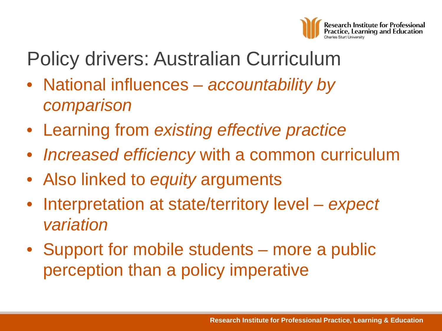

# Policy drivers: Australian Curriculum

- National influences *accountability by comparison*
- Learning from *existing effective practice*
- *Increased efficiency* with a common curriculum
- Also linked to *equity* arguments
- Interpretation at state/territory level *expect variation*
- Support for mobile students more a public perception than a policy imperative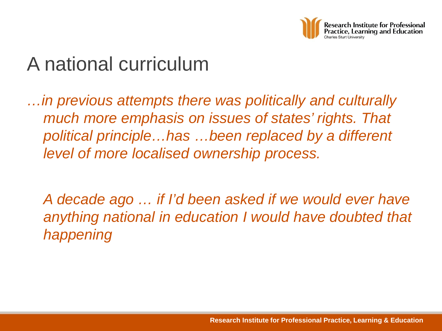

# A national curriculum

*…in previous attempts there was politically and culturally much more emphasis on issues of states' rights. That political principle…has …been replaced by a different level of more localised ownership process.* 

*A decade ago … if I'd been asked if we would ever have anything national in education I would have doubted that happening*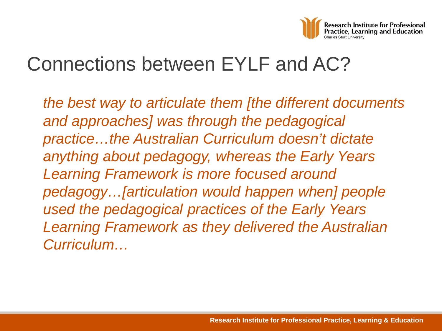

## Connections between EYLF and AC?

*the best way to articulate them [the different documents and approaches] was through the pedagogical practice…the Australian Curriculum doesn't dictate anything about pedagogy, whereas the Early Years Learning Framework is more focused around pedagogy…[articulation would happen when] people used the pedagogical practices of the Early Years Learning Framework as they delivered the Australian Curriculum…*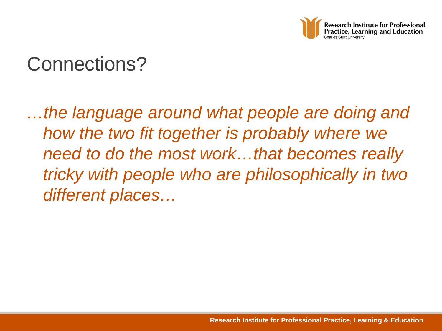

## Connections?

*…the language around what people are doing and how the two fit together is probably where we need to do the most work…that becomes really tricky with people who are philosophically in two different places…*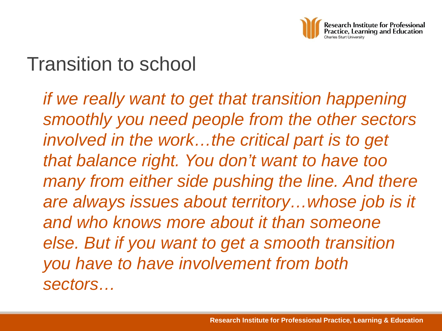

## Transition to school

*if we really want to get that transition happening smoothly you need people from the other sectors involved in the work…the critical part is to get that balance right. You don't want to have too many from either side pushing the line. And there are always issues about territory…whose job is it and who knows more about it than someone else. But if you want to get a smooth transition you have to have involvement from both sectors…*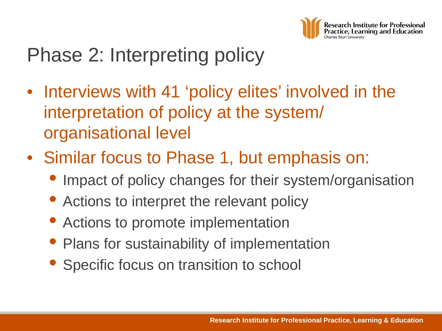

# Phase 2: Interpreting policy

- Interviews with 41 'policy elites' involved in the interpretation of policy at the system/ organisational level
- Similar focus to Phase 1, but emphasis on:
	- Impact of policy changes for their system/organisation
	- Actions to interpret the relevant policy
	- Actions to promote implementation
	- Plans for sustainability of implementation
	- Specific focus on transition to school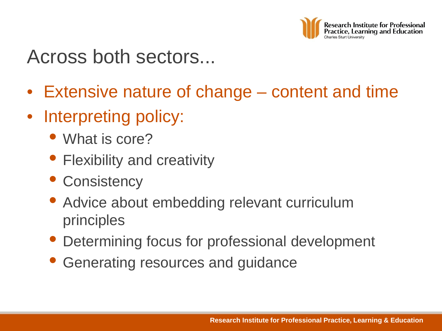

### Across both sectors...

- Extensive nature of change content and time
- Interpreting policy:
	- What is core?
	- Flexibility and creativity
	- Consistency
	- Advice about embedding relevant curriculum principles
	- Determining focus for professional development
	- Generating resources and guidance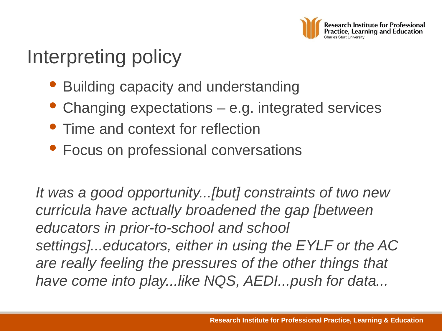

# Interpreting policy

- Building capacity and understanding
- Changing expectations e.g. integrated services
- Time and context for reflection
- Focus on professional conversations

*It was a good opportunity...[but] constraints of two new curricula have actually broadened the gap [between educators in prior-to-school and school settings]...educators, either in using the EYLF or the AC are really feeling the pressures of the other things that have come into play...like NQS, AEDI...push for data...*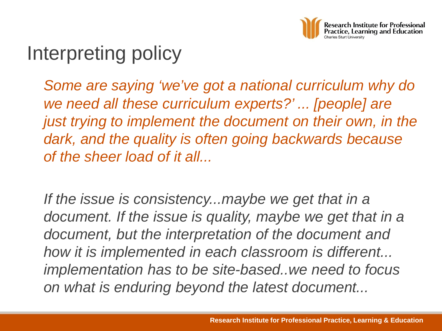

# Interpreting policy

*Some are saying 'we've got a national curriculum why do we need all these curriculum experts?' ... [people] are just trying to implement the document on their own, in the dark, and the quality is often going backwards because of the sheer load of it all...*

*If the issue is consistency...maybe we get that in a*  document. If the *issue is quality, maybe we get that in a document, but the interpretation of the document and how it is implemented in each classroom is different... implementation has to be site-based..we need to focus on what is enduring beyond the latest document...*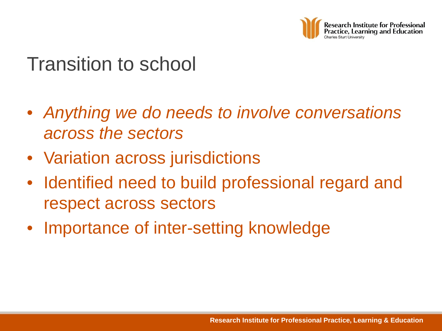

## Transition to school

- *Anything we do needs to involve conversations across the sectors*
- Variation across jurisdictions
- Identified need to build professional regard and respect across sectors
- Importance of inter-setting knowledge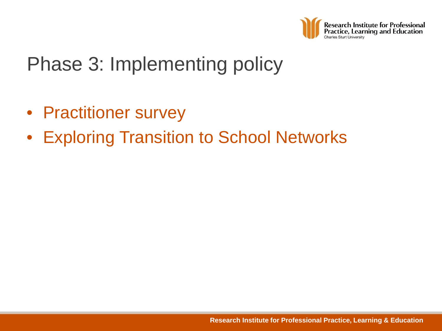

# Phase 3: Implementing policy

- Practitioner survey
- Exploring Transition to School Networks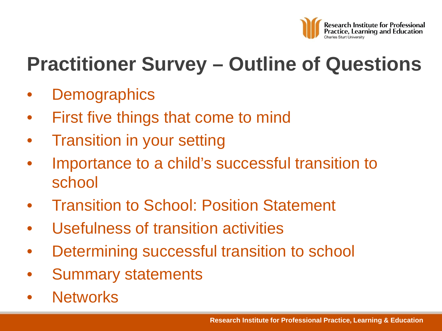

# **Practitioner Survey – Outline of Questions**

- **Demographics**
- First five things that come to mind
- Transition in your setting
- Importance to a child's successful transition to school
- Transition to School: Position Statement
- Usefulness of transition activities
- Determining successful transition to school
- Summary statements
- **Networks**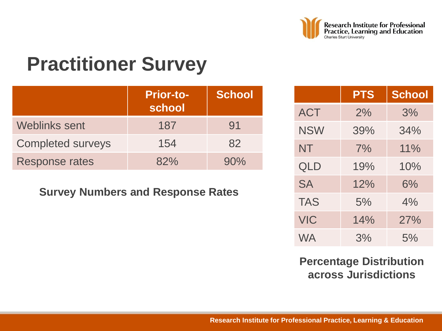

# **Practitioner Survey**

|                          | <b>Prior-to-</b><br>school | School |
|--------------------------|----------------------------|--------|
| <b>Weblinks sent</b>     | 187                        | 91     |
| <b>Completed surveys</b> | 154                        | 82     |
| <b>Response rates</b>    | 82%                        | 90%    |

#### **Survey Numbers and Response Rates**

|            | <b>PTS</b> | <b>School</b> |
|------------|------------|---------------|
| <b>ACT</b> | 2%         | 3%            |
| <b>NSW</b> | 39%        | 34%           |
| <b>NT</b>  | 7%         | 11%           |
| <b>QLD</b> | 19%        | 10%           |
| <b>SA</b>  | 12%        | 6%            |
| <b>TAS</b> | 5%         | 4%            |
| <b>VIC</b> | 14%        | 27%           |
| <b>WA</b>  | 3%         | 5%            |

#### **Percentage Distribution across Jurisdictions**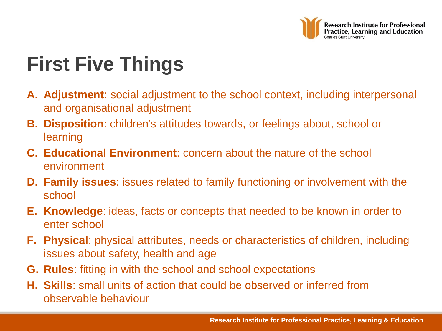

# **First Five Things**

- **A. Adjustment**: social adjustment to the school context, including interpersonal and organisational adjustment
- **B. Disposition**: children's attitudes towards, or feelings about, school or learning
- **C. Educational Environment**: concern about the nature of the school environment
- **D. Family issues**: issues related to family functioning or involvement with the school
- **E. Knowledge**: ideas, facts or concepts that needed to be known in order to enter school
- **F. Physical**: physical attributes, needs or characteristics of children, including issues about safety, health and age
- **G. Rules**: fitting in with the school and school expectations
- **H. Skills**: small units of action that could be observed or inferred from observable behaviour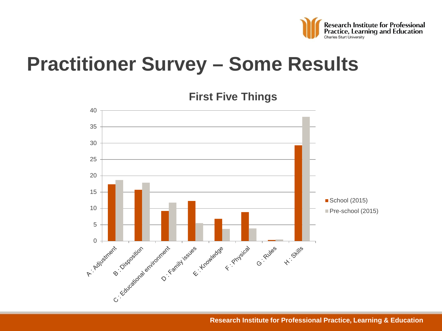

# **Practitioner Survey – Some Results**



**First Five Things**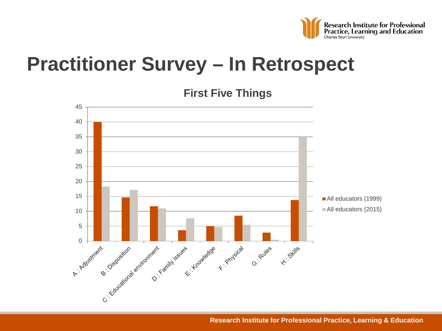

# **Practitioner Survey – In Retrospect**



**First Five Things**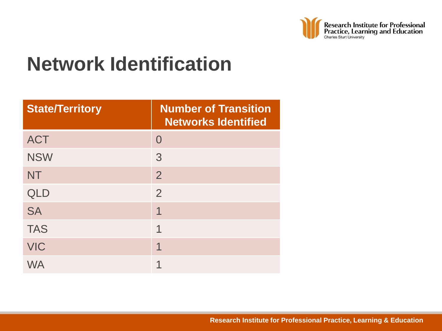

# **Network Identification**

| <b>State/Territory</b> | <b>Number of Transition</b><br><b>Networks Identified</b> |
|------------------------|-----------------------------------------------------------|
| <b>ACT</b>             | $\Omega$                                                  |
| <b>NSW</b>             | 3                                                         |
| <b>NT</b>              | $\overline{2}$                                            |
| <b>QLD</b>             | $\overline{2}$                                            |
| <b>SA</b>              | 1                                                         |
| <b>TAS</b>             | 1                                                         |
| <b>VIC</b>             | 1                                                         |
| WA                     |                                                           |

**Research Institute for Professional Practice, Learning & Education**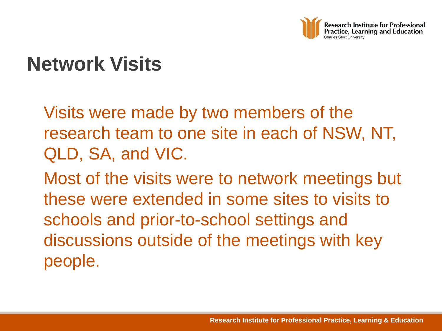

# **Network Visits**

Visits were made by two members of the research team to one site in each of NSW, NT, QLD, SA, and VIC.

Most of the visits were to network meetings but these were extended in some sites to visits to schools and prior-to-school settings and discussions outside of the meetings with key people.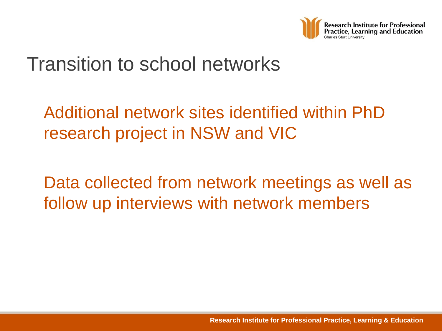

## Transition to school networks

#### Additional network sites identified within PhD research project in NSW and VIC

Data collected from network meetings as well as follow up interviews with network members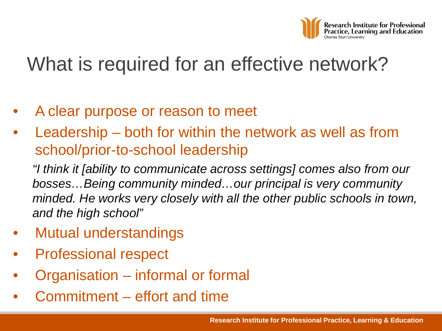

# What is required for an effective network?

- A clear purpose or reason to meet
- Leadership both for within the network as well as from school/prior-to-school leadership

*"I think it [ability to communicate across settings] comes also from our bosses…Being community minded…our principal is very community*  minded. He works very closely with all the other public schools in town, *and the high school"* 

- Mutual understandings
- Professional respect
- Organisation informal or formal
- Commitment effort and time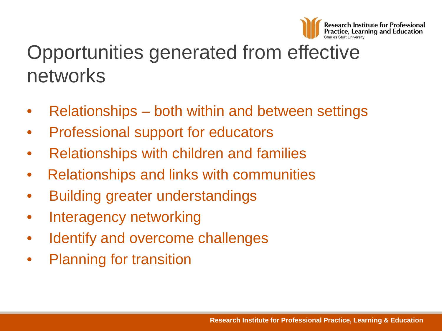

# Opportunities generated from effective networks

- Relationships both within and between settings
- Professional support for educators
- Relationships with children and families
- Relationships and links with communities
- Building greater understandings
- Interagency networking
- Identify and overcome challenges
- Planning for transition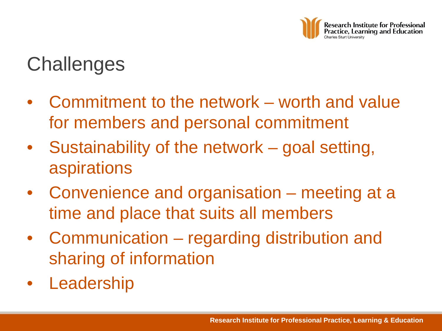

# **Challenges**

- Commitment to the network worth and value for members and personal commitment
- Sustainability of the network goal setting, aspirations
- Convenience and organisation meeting at a time and place that suits all members
- Communication regarding distribution and sharing of information
- **Leadership**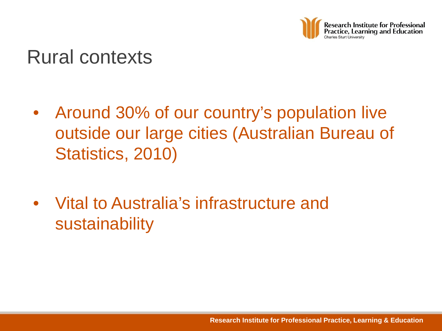

#### Rural contexts

- Around 30% of our country's population live outside our large cities (Australian Bureau of Statistics, 2010)
- Vital to Australia's infrastructure and sustainability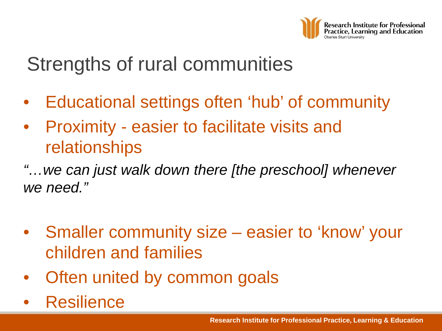

# Strengths of rural communities

- Educational settings often 'hub' of community
- Proximity easier to facilitate visits and relationships

*"…we can just walk down there [the preschool] whenever we need."*

- Smaller community size easier to 'know' your children and families
- Often united by common goals
- **Resilience**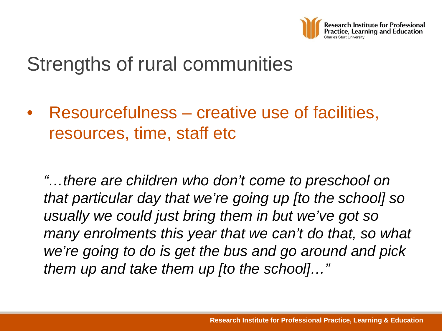

# Strengths of rural communities

• Resourcefulness – creative use of facilities, resources, time, staff etc

*"…there are children who don't come to preschool on that particular day that we're going up [to the school] so usually we could just bring them in but we've got so many enrolments this year that we can't do that, so what we're going to do is get the bus and go around and pick them up and take them up [to the school]…"*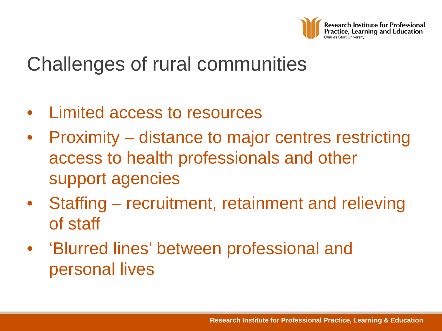

# Challenges of rural communities

- Limited access to resources
- Proximity distance to major centres restricting access to health professionals and other support agencies
- Staffing recruitment, retainment and relieving of staff
- 'Blurred lines' between professional and personal lives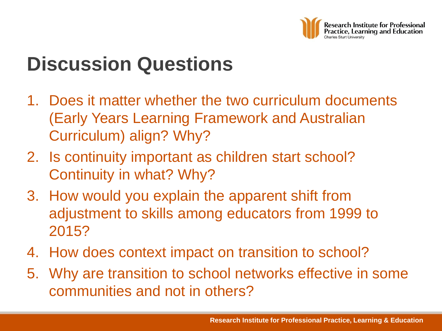

# **Discussion Questions**

- 1. Does it matter whether the two curriculum documents (Early Years Learning Framework and Australian Curriculum) align? Why?
- 2. Is continuity important as children start school? Continuity in what? Why?
- 3. How would you explain the apparent shift from adjustment to skills among educators from 1999 to 2015?
- 4. How does context impact on transition to school?
- 5. Why are transition to school networks effective in some communities and not in others?